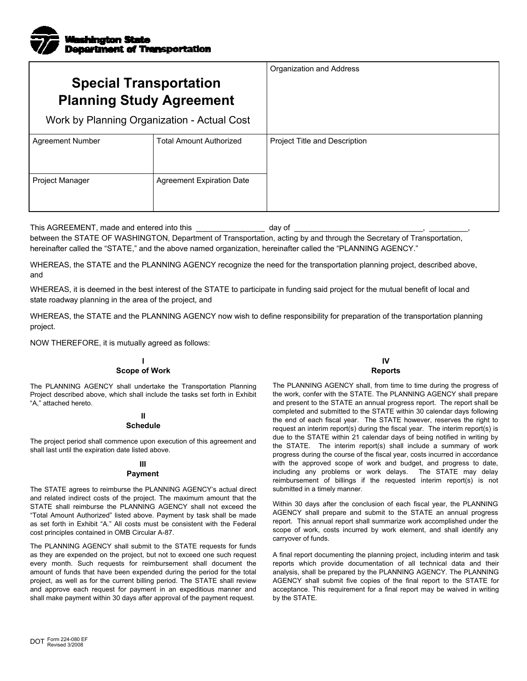

| <b>Special Transportation</b><br><b>Planning Study Agreement</b> |                                  | Organization and Address             |
|------------------------------------------------------------------|----------------------------------|--------------------------------------|
| Work by Planning Organization - Actual Cost                      |                                  |                                      |
| <b>Agreement Number</b>                                          | <b>Total Amount Authorized</b>   | <b>Project Title and Description</b> |
| Project Manager                                                  | <b>Agreement Expiration Date</b> |                                      |

This AGREEMENT, made and entered into this \_\_\_\_\_\_\_\_\_\_\_\_\_\_\_\_\_\_\_\_\_\_\_\_\_\_\_ day of \_

between the STATE OF WASHINGTON, Department of Transportation, acting by and through the Secretary of Transportation, hereinafter called the "STATE," and the above named organization, hereinafter called the "PLANNING AGENCY."

WHEREAS, the STATE and the PLANNING AGENCY recognize the need for the transportation planning project, described above, and

WHEREAS, it is deemed in the best interest of the STATE to participate in funding said project for the mutual benefit of local and state roadway planning in the area of the project, and

WHEREAS, the STATE and the PLANNING AGENCY now wish to define responsibility for preparation of the transportation planning project.

NOW THEREFORE, it is mutually agreed as follows:

## **I Scope of Work**

The PLANNING AGENCY shall undertake the Transportation Planning Project described above, which shall include the tasks set forth in Exhibit "A," attached hereto.

## **II Schedule**

The project period shall commence upon execution of this agreement and shall last until the expiration date listed above.

# **III**

## **Payment**

The STATE agrees to reimburse the PLANNING AGENCY's actual direct and related indirect costs of the project. The maximum amount that the STATE shall reimburse the PLANNING AGENCY shall not exceed the "Total Amount Authorized" listed above. Payment by task shall be made as set forth in Exhibit "A." All costs must be consistent with the Federal cost principles contained in OMB Circular A-87.

The PLANNING AGENCY shall submit to the STATE requests for funds as they are expended on the project, but not to exceed one such request every month. Such requests for reimbursement shall document the amount of funds that have been expended during the period for the total project, as well as for the current billing period. The STATE shall review and approve each request for payment in an expeditious manner and shall make payment within 30 days after approval of the payment request.

**IV Reports**

The PLANNING AGENCY shall, from time to time during the progress of the work, confer with the STATE. The PLANNING AGENCY shall prepare and present to the STATE an annual progress report. The report shall be completed and submitted to the STATE within 30 calendar days following the end of each fiscal year. The STATE however, reserves the right to request an interim report(s) during the fiscal year. The interim report(s) is due to the STATE within 21 calendar days of being notified in writing by the STATE. The interim report(s) shall include a summary of work progress during the course of the fiscal year, costs incurred in accordance with the approved scope of work and budget, and progress to date, including any problems or work delays. The STATE may delay reimbursement of billings if the requested interim report(s) is not submitted in a timely manner.

Within 30 days after the conclusion of each fiscal year, the PLANNING AGENCY shall prepare and submit to the STATE an annual progress report. This annual report shall summarize work accomplished under the scope of work, costs incurred by work element, and shall identify any carryover of funds.

A final report documenting the planning project, including interim and task reports which provide documentation of all technical data and their analysis, shall be prepared by the PLANNING AGENCY. The PLANNING AGENCY shall submit five copies of the final report to the STATE for acceptance. This requirement for a final report may be waived in writing by the STATE.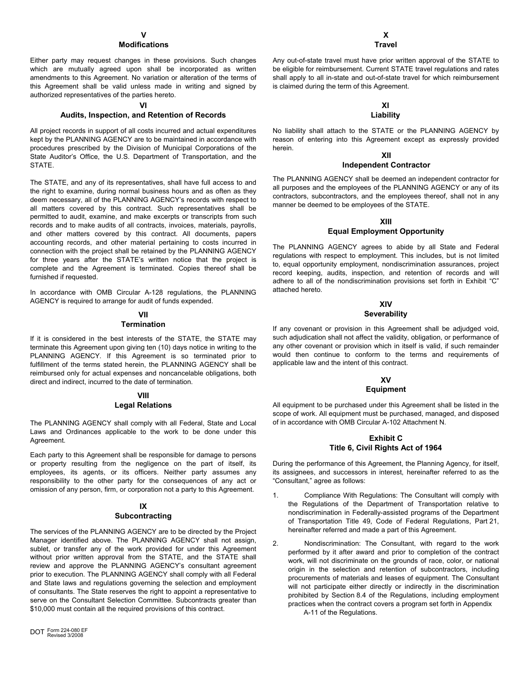## **Modifications**

Either party may request changes in these provisions. Such changes which are mutually agreed upon shall be incorporated as written amendments to this Agreement. No variation or alteration of the terms of this Agreement shall be valid unless made in writing and signed by authorized representatives of the parties hereto.

#### **VI**

### **Audits, Inspection, and Retention of Records**

All project records in support of all costs incurred and actual expenditures kept by the PLANNING AGENCY are to be maintained in accordance with procedures prescribed by the Division of Municipal Corporations of the State Auditor's Office, the U.S. Department of Transportation, and the **STATE** 

The STATE, and any of its representatives, shall have full access to and the right to examine, during normal business hours and as often as they deem necessary, all of the PLANNING AGENCY's records with respect to all matters covered by this contract. Such representatives shall be permitted to audit, examine, and make excerpts or transcripts from such records and to make audits of all contracts, invoices, materials, payrolls, and other matters covered by this contract. All documents, papers accounting records, and other material pertaining to costs incurred in connection with the project shall be retained by the PLANNING AGENCY for three years after the STATE's written notice that the project is complete and the Agreement is terminated. Copies thereof shall be furnished if requested.

In accordance with OMB Circular A-128 regulations, the PLANNING AGENCY is required to arrange for audit of funds expended.

#### **VII Termination**

If it is considered in the best interests of the STATE, the STATE may terminate this Agreement upon giving ten (10) days notice in writing to the PLANNING AGENCY. If this Agreement is so terminated prior to fulfillment of the terms stated herein, the PLANNING AGENCY shall be reimbursed only for actual expenses and noncancelable obligations, both direct and indirect, incurred to the date of termination.

## **VIII Legal Relations**

The PLANNING AGENCY shall comply with all Federal, State and Local Laws and Ordinances applicable to the work to be done under this Agreement.

Each party to this Agreement shall be responsible for damage to persons or property resulting from the negligence on the part of itself, its employees, its agents, or its officers. Neither party assumes any responsibility to the other party for the consequences of any act or omission of any person, firm, or corporation not a party to this Agreement.

#### **IX Subcontracting**

The services of the PLANNING AGENCY are to be directed by the Project Manager identified above. The PLANNING AGENCY shall not assign, sublet, or transfer any of the work provided for under this Agreement without prior written approval from the STATE, and the STATE shall review and approve the PLANNING AGENCY's consultant agreement prior to execution. The PLANNING AGENCY shall comply with all Federal and State laws and regulations governing the selection and employment of consultants. The State reserves the right to appoint a representative to serve on the Consultant Selection Committee. Subcontracts greater than \$10,000 must contain all the required provisions of this contract.

Any out-of-state travel must have prior written approval of the STATE to be eligible for reimbursement. Current STATE travel regulations and rates shall apply to all in-state and out-of-state travel for which reimbursement is claimed during the term of this Agreement.

#### **XI Liability**

No liability shall attach to the STATE or the PLANNING AGENCY by reason of entering into this Agreement except as expressly provided herein.

#### **XII Independent Contractor**

The PLANNING AGENCY shall be deemed an independent contractor for all purposes and the employees of the PLANNING AGENCY or any of its contractors, subcontractors, and the employees thereof, shall not in any manner be deemed to be employees of the STATE.

## **XIII**

## **Equal Employment Opportunity**

The PLANNING AGENCY agrees to abide by all State and Federal regulations with respect to employment. This includes, but is not limited to, equal opportunity employment, nondiscrimination assurances, project record keeping, audits, inspection, and retention of records and will adhere to all of the nondiscrimination provisions set forth in Exhibit "C" attached hereto.

## **XIV**

## **Severability**

If any covenant or provision in this Agreement shall be adjudged void, such adjudication shall not affect the validity, obligation, or performance of any other covenant or provision which in itself is valid, if such remainder would then continue to conform to the terms and requirements of applicable law and the intent of this contract.

## **XV**

## **Equipment**

All equipment to be purchased under this Agreement shall be listed in the scope of work. All equipment must be purchased, managed, and disposed of in accordance with OMB Circular A-102 Attachment N.

## **Exhibit C Title 6, Civil Rights Act of 1964**

During the performance of this Agreement, the Planning Agency, for itself, its assignees, and successors in interest, hereinafter referred to as the "Consultant," agree as follows:

- 1. Compliance With Regulations: The Consultant will comply with the Regulations of the Department of Transportation relative to nondiscrimination in Federally-assisted programs of the Department of Transportation Title 49, Code of Federal Regulations, Part 21, hereinafter referred and made a part of this Agreement.
- 2. Nondiscrimination: The Consultant, with regard to the work performed by it after award and prior to completion of the contract work, will not discriminate on the grounds of race, color, or national origin in the selection and retention of subcontractors, including procurements of materials and leases of equipment. The Consultant will not participate either directly or indirectly in the discrimination prohibited by Section 8.4 of the Regulations, including employment practices when the contract covers a program set forth in Appendix

A-11 of the Regulations.